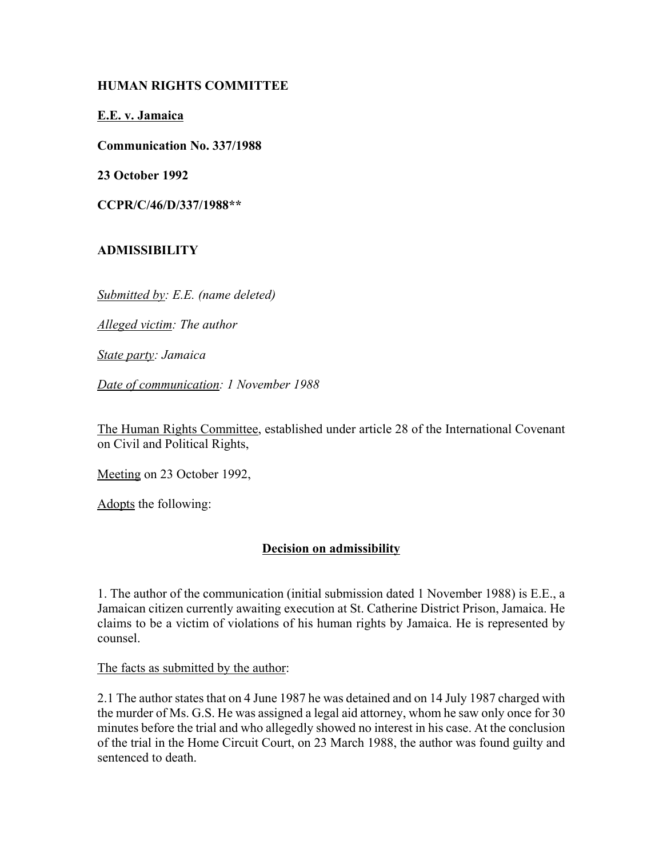### **HUMAN RIGHTS COMMITTEE**

**E.E. v. Jamaica**

**Communication No. 337/1988**

**23 October 1992**

**CCPR/C/46/D/337/1988\*\***

# **ADMISSIBILITY**

*Submitted by: E.E. (name deleted)*

*Alleged victim: The author*

*State party: Jamaica*

*Date of communication: 1 November 1988*

The Human Rights Committee, established under article 28 of the International Covenant on Civil and Political Rights,

Meeting on 23 October 1992,

Adopts the following:

## **Decision on admissibility**

1. The author of the communication (initial submission dated 1 November 1988) is E.E., a Jamaican citizen currently awaiting execution at St. Catherine District Prison, Jamaica. He claims to be a victim of violations of his human rights by Jamaica. He is represented by counsel.

The facts as submitted by the author:

2.1 The author states that on 4 June 1987 he was detained and on 14 July 1987 charged with the murder of Ms. G.S. He was assigned a legal aid attorney, whom he saw only once for 30 minutes before the trial and who allegedly showed no interest in his case. At the conclusion of the trial in the Home Circuit Court, on 23 March 1988, the author was found guilty and sentenced to death.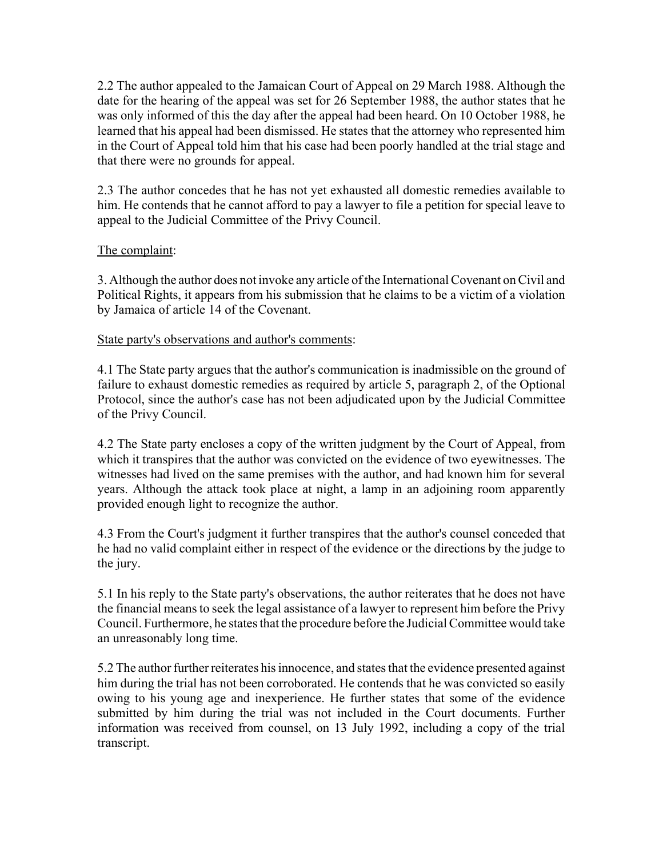2.2 The author appealed to the Jamaican Court of Appeal on 29 March 1988. Although the date for the hearing of the appeal was set for 26 September 1988, the author states that he was only informed of this the day after the appeal had been heard. On 10 October 1988, he learned that his appeal had been dismissed. He states that the attorney who represented him in the Court of Appeal told him that his case had been poorly handled at the trial stage and that there were no grounds for appeal.

2.3 The author concedes that he has not yet exhausted all domestic remedies available to him. He contends that he cannot afford to pay a lawyer to file a petition for special leave to appeal to the Judicial Committee of the Privy Council.

### The complaint:

3. Although the author does not invoke any article of the International Covenant on Civil and Political Rights, it appears from his submission that he claims to be a victim of a violation by Jamaica of article 14 of the Covenant.

#### State party's observations and author's comments:

4.1 The State party argues that the author's communication is inadmissible on the ground of failure to exhaust domestic remedies as required by article 5, paragraph 2, of the Optional Protocol, since the author's case has not been adjudicated upon by the Judicial Committee of the Privy Council.

4.2 The State party encloses a copy of the written judgment by the Court of Appeal, from which it transpires that the author was convicted on the evidence of two eyewitnesses. The witnesses had lived on the same premises with the author, and had known him for several years. Although the attack took place at night, a lamp in an adjoining room apparently provided enough light to recognize the author.

4.3 From the Court's judgment it further transpires that the author's counsel conceded that he had no valid complaint either in respect of the evidence or the directions by the judge to the jury.

5.1 In his reply to the State party's observations, the author reiterates that he does not have the financial means to seek the legal assistance of a lawyer to represent him before the Privy Council. Furthermore, he states that the procedure before the Judicial Committee would take an unreasonably long time.

5.2 The author further reiterates his innocence, and states that the evidence presented against him during the trial has not been corroborated. He contends that he was convicted so easily owing to his young age and inexperience. He further states that some of the evidence submitted by him during the trial was not included in the Court documents. Further information was received from counsel, on 13 July 1992, including a copy of the trial transcript.